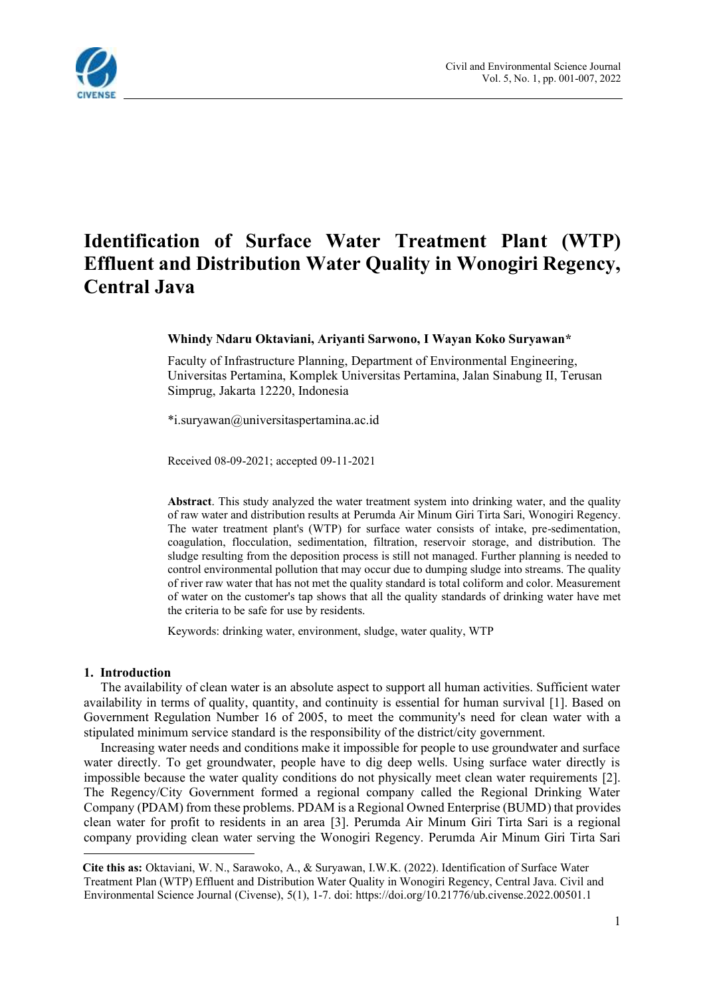

# **Identification of Surface Water Treatment Plant (WTP) Effluent and Distribution Water Quality in Wonogiri Regency, Central Java**

#### **Whindy Ndaru Oktaviani, Ariyanti Sarwono, I Wayan Koko Suryawan\***

Faculty of Infrastructure Planning, Department of Environmental Engineering, Universitas Pertamina, Komplek Universitas Pertamina, Jalan Sinabung II, Terusan Simprug, Jakarta 12220, Indonesia<sup>1</sup>

\*i.suryawan@universitaspertamina.ac.id

Received 08-09-2021; accepted 09-11-2021

**Abstract**. This study analyzed the water treatment system into drinking water, and the quality of raw water and distribution results at Perumda Air Minum Giri Tirta Sari, Wonogiri Regency. The water treatment plant's (WTP) for surface water consists of intake, pre-sedimentation, coagulation, flocculation, sedimentation, filtration, reservoir storage, and distribution. The sludge resulting from the deposition process is still not managed. Further planning is needed to control environmental pollution that may occur due to dumping sludge into streams. The quality of river raw water that has not met the quality standard is total coliform and color. Measurement of water on the customer's tap shows that all the quality standards of drinking water have met the criteria to be safe for use by residents.

Keywords: drinking water, environment, sludge, water quality, WTP

#### **1. Introduction**

The availability of clean water is an absolute aspect to support all human activities. Sufficient water availability in terms of quality, quantity, and continuity is essential for human survival [1]. Based on Government Regulation Number 16 of 2005, to meet the community's need for clean water with a stipulated minimum service standard is the responsibility of the district/city government.

Increasing water needs and conditions make it impossible for people to use groundwater and surface water directly. To get groundwater, people have to dig deep wells. Using surface water directly is impossible because the water quality conditions do not physically meet clean water requirements [2]. The Regency/City Government formed a regional company called the Regional Drinking Water Company (PDAM) from these problems. PDAM is a Regional Owned Enterprise (BUMD) that provides clean water for profit to residents in an area [3]. Perumda Air Minum Giri Tirta Sari is a regional company providing clean water serving the Wonogiri Regency. Perumda Air Minum Giri Tirta Sari

<sup>1</sup> **Cite this as:** Oktaviani, W. N., Sarawoko, A., & Suryawan, I.W.K. (2022). Identification of Surface Water Treatment Plan (WTP) Effluent and Distribution Water Quality in Wonogiri Regency, Central Java. Civil and Environmental Science Journal (Civense), 5(1), 1-7. doi: https://doi.org/10.21776/ub.civense.2022.00501.1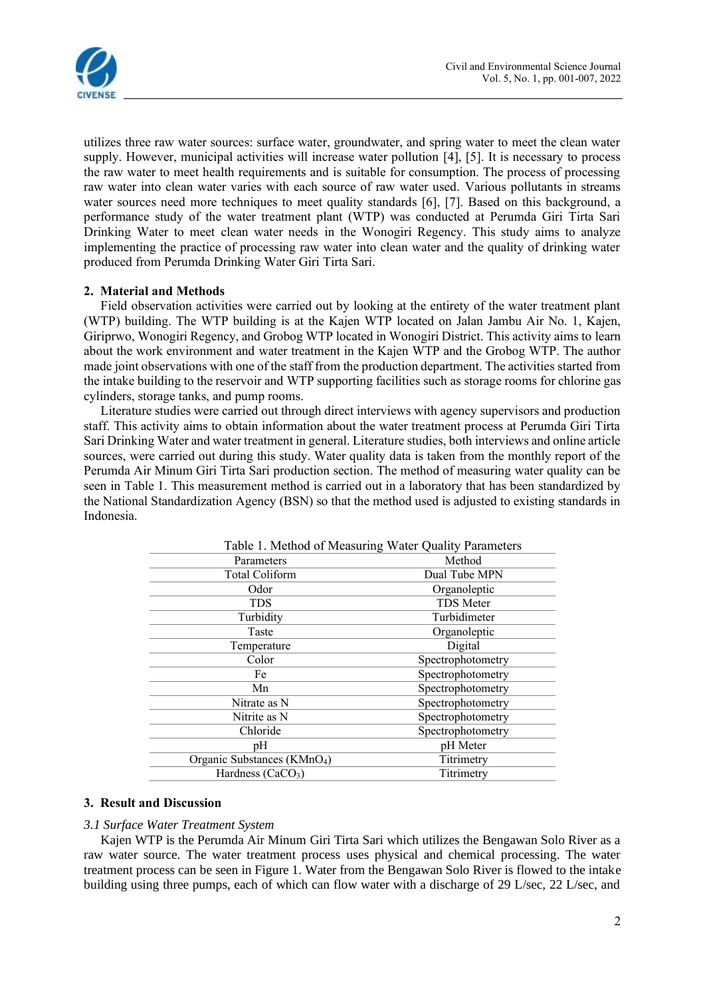

utilizes three raw water sources: surface water, groundwater, and spring water to meet the clean water supply. However, municipal activities will increase water pollution [4], [5]. It is necessary to process the raw water to meet health requirements and is suitable for consumption. The process of processing raw water into clean water varies with each source of raw water used. Various pollutants in streams water sources need more techniques to meet quality standards [6], [7]. Based on this background, a performance study of the water treatment plant (WTP) was conducted at Perumda Giri Tirta Sari Drinking Water to meet clean water needs in the Wonogiri Regency. This study aims to analyze implementing the practice of processing raw water into clean water and the quality of drinking water produced from Perumda Drinking Water Giri Tirta Sari.

## **2. Material and Methods**

Field observation activities were carried out by looking at the entirety of the water treatment plant (WTP) building. The WTP building is at the Kajen WTP located on Jalan Jambu Air No. 1, Kajen, Giriprwo, Wonogiri Regency, and Grobog WTP located in Wonogiri District. This activity aims to learn about the work environment and water treatment in the Kajen WTP and the Grobog WTP. The author made joint observations with one of the staff from the production department. The activities started from the intake building to the reservoir and WTP supporting facilities such as storage rooms for chlorine gas cylinders, storage tanks, and pump rooms.

Literature studies were carried out through direct interviews with agency supervisors and production staff. This activity aims to obtain information about the water treatment process at Perumda Giri Tirta Sari Drinking Water and water treatment in general. Literature studies, both interviews and online article sources, were carried out during this study. Water quality data is taken from the monthly report of the Perumda Air Minum Giri Tirta Sari production section. The method of measuring water quality can be seen in Table 1. This measurement method is carried out in a laboratory that has been standardized by the National Standardization Agency (BSN) so that the method used is adjusted to existing standards in Indonesia.

| Table 1. Method of Measuring Water Quality Parameters |                   |  |  |  |
|-------------------------------------------------------|-------------------|--|--|--|
| Parameters                                            | Method            |  |  |  |
| Total Coliform                                        | Dual Tube MPN     |  |  |  |
| Odor                                                  | Organoleptic      |  |  |  |
| <b>TDS</b>                                            | <b>TDS</b> Meter  |  |  |  |
| Turbidity                                             | Turbidimeter      |  |  |  |
| Taste                                                 | Organoleptic      |  |  |  |
| Temperature                                           | Digital           |  |  |  |
| Color                                                 | Spectrophotometry |  |  |  |
| Fe                                                    | Spectrophotometry |  |  |  |
| Mn                                                    | Spectrophotometry |  |  |  |
| Nitrate as N                                          | Spectrophotometry |  |  |  |
| Nitrite as N                                          | Spectrophotometry |  |  |  |
| Chloride                                              | Spectrophotometry |  |  |  |
| рH                                                    | pH Meter          |  |  |  |
| Organic Substances (KMnO <sub>4</sub> )               | Titrimetry        |  |  |  |
| Hardness (CaCO <sub>3</sub> )                         | Titrimetry        |  |  |  |

### **3. Result and Discussion**

### *3.1 Surface Water Treatment System*

Kajen WTP is the Perumda Air Minum Giri Tirta Sari which utilizes the Bengawan Solo River as a raw water source. The water treatment process uses physical and chemical processing. The water treatment process can be seen in Figure 1. Water from the Bengawan Solo River is flowed to the intake building using three pumps, each of which can flow water with a discharge of 29 L/sec, 22 L/sec, and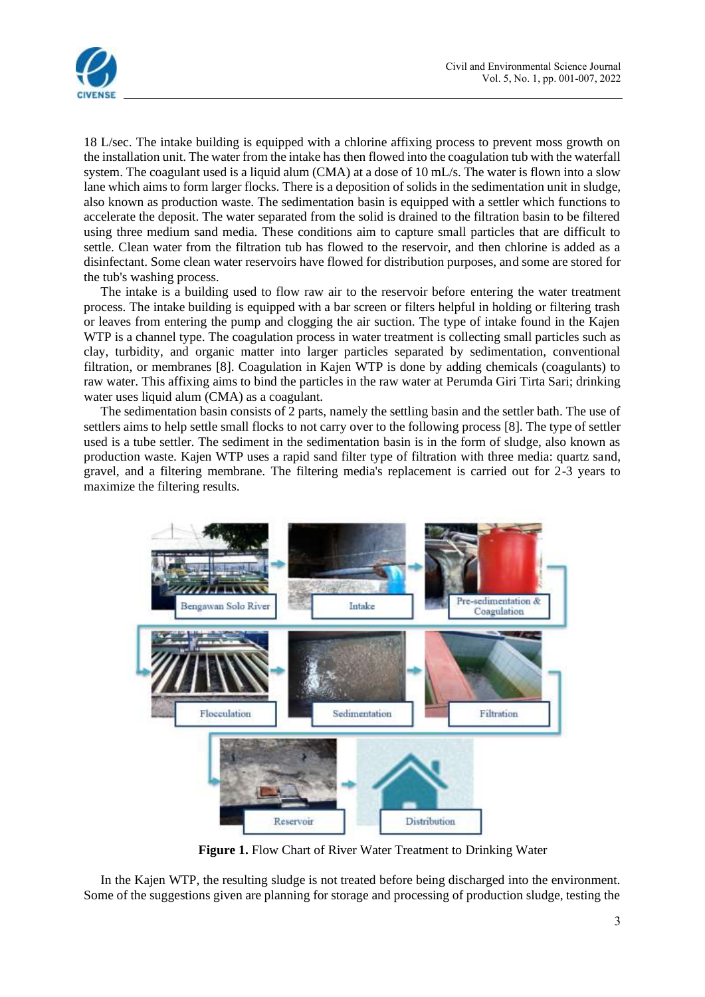



18 L/sec. The intake building is equipped with a chlorine affixing process to prevent moss growth on the installation unit. The water from the intake has then flowed into the coagulation tub with the waterfall system. The coagulant used is a liquid alum (CMA) at a dose of 10 mL/s. The water is flown into a slow lane which aims to form larger flocks. There is a deposition of solids in the sedimentation unit in sludge, also known as production waste. The sedimentation basin is equipped with a settler which functions to accelerate the deposit. The water separated from the solid is drained to the filtration basin to be filtered using three medium sand media. These conditions aim to capture small particles that are difficult to settle. Clean water from the filtration tub has flowed to the reservoir, and then chlorine is added as a disinfectant. Some clean water reservoirs have flowed for distribution purposes, and some are stored for the tub's washing process.

The intake is a building used to flow raw air to the reservoir before entering the water treatment process. The intake building is equipped with a bar screen or filters helpful in holding or filtering trash or leaves from entering the pump and clogging the air suction. The type of intake found in the Kajen WTP is a channel type. The coagulation process in water treatment is collecting small particles such as clay, turbidity, and organic matter into larger particles separated by sedimentation, conventional filtration, or membranes [8]. Coagulation in Kajen WTP is done by adding chemicals (coagulants) to raw water. This affixing aims to bind the particles in the raw water at Perumda Giri Tirta Sari; drinking water uses liquid alum (CMA) as a coagulant.

The sedimentation basin consists of 2 parts, namely the settling basin and the settler bath. The use of settlers aims to help settle small flocks to not carry over to the following process [8]. The type of settler used is a tube settler. The sediment in the sedimentation basin is in the form of sludge, also known as production waste. Kajen WTP uses a rapid sand filter type of filtration with three media: quartz sand, gravel, and a filtering membrane. The filtering media's replacement is carried out for 2-3 years to maximize the filtering results.



**Figure 1.** Flow Chart of River Water Treatment to Drinking Water

In the Kajen WTP, the resulting sludge is not treated before being discharged into the environment. Some of the suggestions given are planning for storage and processing of production sludge, testing the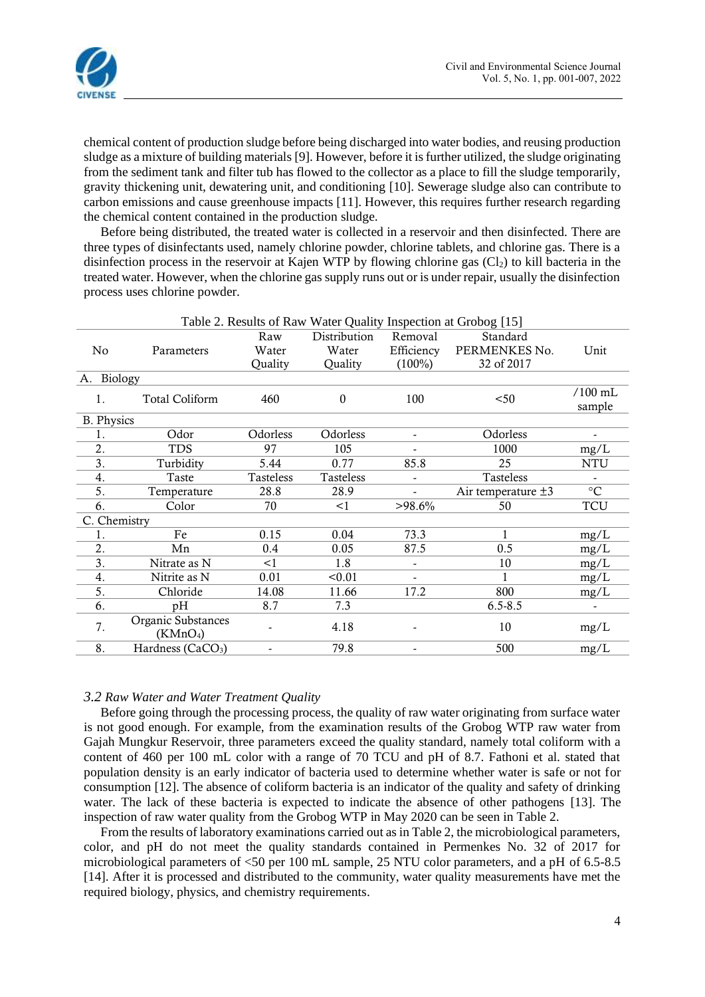

chemical content of production sludge before being discharged into water bodies, and reusing production sludge as a mixture of building materials [9]. However, before it is further utilized, the sludge originating from the sediment tank and filter tub has flowed to the collector as a place to fill the sludge temporarily, gravity thickening unit, dewatering unit, and conditioning [10]. Sewerage sludge also can contribute to carbon emissions and cause greenhouse impacts [11]. However, this requires further research regarding the chemical content contained in the production sludge.

Before being distributed, the treated water is collected in a reservoir and then disinfected. There are three types of disinfectants used, namely chlorine powder, chlorine tablets, and chlorine gas. There is a disinfection process in the reservoir at Kajen WTP by flowing chlorine gas  $(C_2)$  to kill bacteria in the treated water. However, when the chlorine gas supply runs out or is under repair, usually the disinfection process uses chlorine powder.

| Table 2. Results of Raw Water Quality Inspection at Grobog [15] |                                            |           |                  |                          |                         |                          |  |  |
|-----------------------------------------------------------------|--------------------------------------------|-----------|------------------|--------------------------|-------------------------|--------------------------|--|--|
|                                                                 |                                            | Raw       | Distribution     | Removal                  | Standard                |                          |  |  |
| No                                                              | Parameters                                 | Water     | Water            | Efficiency               | PERMENKES No.           | Unit                     |  |  |
|                                                                 |                                            | Quality   | Quality          | $(100\%)$                | 32 of 2017              |                          |  |  |
| A. Biology                                                      |                                            |           |                  |                          |                         |                          |  |  |
| 1.                                                              | <b>Total Coliform</b>                      | 460       | $\boldsymbol{0}$ | 100                      | $50$                    | $/100$ mL                |  |  |
|                                                                 |                                            |           |                  |                          |                         | sample                   |  |  |
| <b>B.</b> Physics                                               |                                            |           |                  |                          |                         |                          |  |  |
| 1.                                                              | Odor                                       | Odorless  | Odorless         |                          | Odorless                |                          |  |  |
| 2.                                                              | <b>TDS</b>                                 | 97        | 105              |                          | 1000                    | mg/L                     |  |  |
| 3.                                                              | Turbidity                                  | 5.44      | 0.77             | 85.8                     | 25                      | <b>NTU</b>               |  |  |
| 4.                                                              | Taste                                      | Tasteless | Tasteless        | $\overline{\phantom{a}}$ | Tasteless               |                          |  |  |
| 5.                                                              | Temperature                                | 28.8      | 28.9             |                          | Air temperature $\pm 3$ | $\rm ^{\circ}C$          |  |  |
| 6.                                                              | Color                                      | 70        | <1               | $>98.6\%$                | 50                      | <b>TCU</b>               |  |  |
| C. Chemistry                                                    |                                            |           |                  |                          |                         |                          |  |  |
| 1.                                                              | Fe                                         | 0.15      | 0.04             | 73.3                     | 1                       | mg/L                     |  |  |
| 2.                                                              | Mn                                         | 0.4       | 0.05             | 87.5                     | 0.5                     | mg/L                     |  |  |
| 3.                                                              | Nitrate as N                               | <1        | 1.8              |                          | 10                      | mg/L                     |  |  |
| 4.                                                              | Nitrite as N                               | 0.01      | < 0.01           |                          |                         | mg/L                     |  |  |
| 5.                                                              | Chloride                                   | 14.08     | 11.66            | 17.2                     | 800                     | mg/L                     |  |  |
| 6.                                                              | pH                                         | 8.7       | 7.3              |                          | $6.5 - 8.5$             | $\overline{\phantom{a}}$ |  |  |
| 7.                                                              | Organic Substances<br>(KMnO <sub>4</sub> ) |           | 4.18             |                          | 10                      | mg/L                     |  |  |
|                                                                 |                                            |           |                  |                          |                         |                          |  |  |
| 8.                                                              | Hardness (CaCO <sub>3</sub> )              |           | 79.8             |                          | 500                     | mg/L                     |  |  |
|                                                                 |                                            |           |                  |                          |                         |                          |  |  |

#### *3.2 Raw Water and Water Treatment Quality*

Before going through the processing process, the quality of raw water originating from surface water is not good enough. For example, from the examination results of the Grobog WTP raw water from Gajah Mungkur Reservoir, three parameters exceed the quality standard, namely total coliform with a content of 460 per 100 mL color with a range of 70 TCU and pH of 8.7. Fathoni et al. stated that population density is an early indicator of bacteria used to determine whether water is safe or not for consumption [12]. The absence of coliform bacteria is an indicator of the quality and safety of drinking water. The lack of these bacteria is expected to indicate the absence of other pathogens [13]. The inspection of raw water quality from the Grobog WTP in May 2020 can be seen in Table 2.

From the results of laboratory examinations carried out as in Table 2, the microbiological parameters, color, and pH do not meet the quality standards contained in Permenkes No. 32 of 2017 for microbiological parameters of <50 per 100 mL sample, 25 NTU color parameters, and a pH of 6.5-8.5 [14]. After it is processed and distributed to the community, water quality measurements have met the required biology, physics, and chemistry requirements.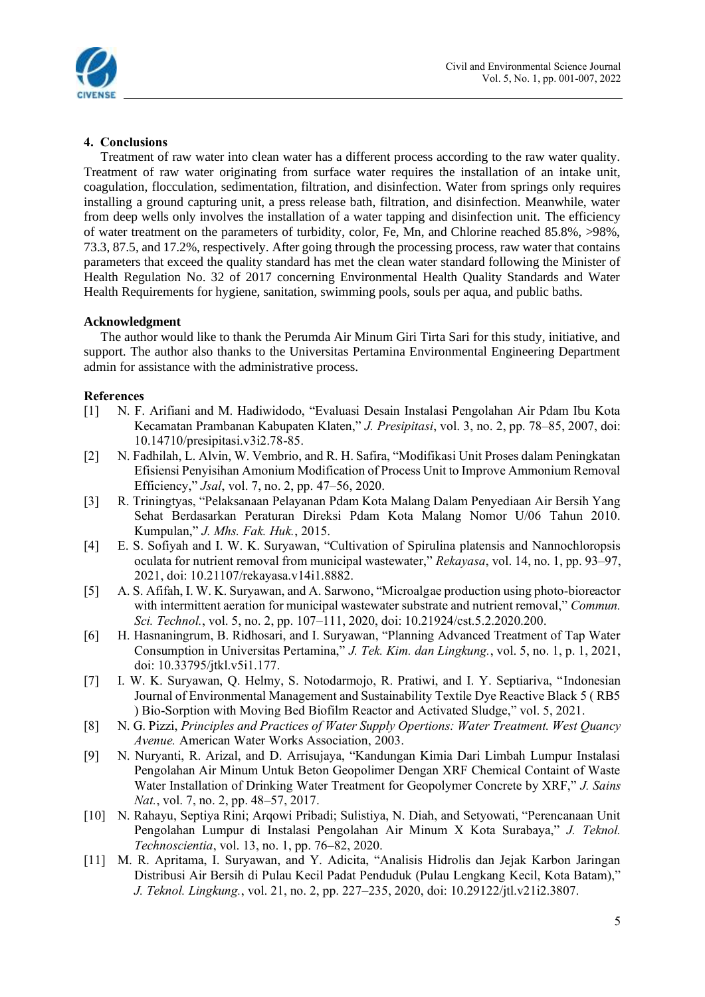

# **4. Conclusions**

Treatment of raw water into clean water has a different process according to the raw water quality. Treatment of raw water originating from surface water requires the installation of an intake unit, coagulation, flocculation, sedimentation, filtration, and disinfection. Water from springs only requires installing a ground capturing unit, a press release bath, filtration, and disinfection. Meanwhile, water from deep wells only involves the installation of a water tapping and disinfection unit. The efficiency of water treatment on the parameters of turbidity, color, Fe, Mn, and Chlorine reached 85.8%, >98%, 73.3, 87.5, and 17.2%, respectively. After going through the processing process, raw water that contains parameters that exceed the quality standard has met the clean water standard following the Minister of Health Regulation No. 32 of 2017 concerning Environmental Health Quality Standards and Water Health Requirements for hygiene, sanitation, swimming pools, souls per aqua, and public baths.

### **Acknowledgment**

The author would like to thank the Perumda Air Minum Giri Tirta Sari for this study, initiative, and support. The author also thanks to the Universitas Pertamina Environmental Engineering Department admin for assistance with the administrative process.

### **References**

- [1] N. F. Arifiani and M. Hadiwidodo, "Evaluasi Desain Instalasi Pengolahan Air Pdam Ibu Kota Kecamatan Prambanan Kabupaten Klaten," *J. Presipitasi*, vol. 3, no. 2, pp. 78–85, 2007, doi: 10.14710/presipitasi.v3i2.78-85.
- [2] N. Fadhilah, L. Alvin, W. Vembrio, and R. H. Safira, "Modifikasi Unit Proses dalam Peningkatan Efisiensi Penyisihan Amonium Modification of Process Unit to Improve Ammonium Removal Efficiency," *Jsal*, vol. 7, no. 2, pp. 47–56, 2020.
- [3] R. Triningtyas, "Pelaksanaan Pelayanan Pdam Kota Malang Dalam Penyediaan Air Bersih Yang Sehat Berdasarkan Peraturan Direksi Pdam Kota Malang Nomor U/06 Tahun 2010. Kumpulan," *J. Mhs. Fak. Huk.*, 2015.
- [4] E. S. Sofiyah and I. W. K. Suryawan, "Cultivation of Spirulina platensis and Nannochloropsis oculata for nutrient removal from municipal wastewater," *Rekayasa*, vol. 14, no. 1, pp. 93–97, 2021, doi: 10.21107/rekayasa.v14i1.8882.
- [5] A. S. Afifah, I. W. K. Suryawan, and A. Sarwono, "Microalgae production using photo-bioreactor with intermittent aeration for municipal wastewater substrate and nutrient removal," *Commun. Sci. Technol.*, vol. 5, no. 2, pp. 107–111, 2020, doi: 10.21924/cst.5.2.2020.200.
- [6] H. Hasnaningrum, B. Ridhosari, and I. Suryawan, "Planning Advanced Treatment of Tap Water Consumption in Universitas Pertamina," *J. Tek. Kim. dan Lingkung.*, vol. 5, no. 1, p. 1, 2021, doi: 10.33795/jtkl.v5i1.177.
- [7] I. W. K. Suryawan, Q. Helmy, S. Notodarmojo, R. Pratiwi, and I. Y. Septiariva, "Indonesian Journal of Environmental Management and Sustainability Textile Dye Reactive Black 5 ( RB5 ) Bio-Sorption with Moving Bed Biofilm Reactor and Activated Sludge," vol. 5, 2021.
- [8] N. G. Pizzi, *Principles and Practices of Water Supply Opertions: Water Treatment. West Quancy Avenue.* American Water Works Association, 2003.
- [9] N. Nuryanti, R. Arizal, and D. Arrisujaya, "Kandungan Kimia Dari Limbah Lumpur Instalasi Pengolahan Air Minum Untuk Beton Geopolimer Dengan XRF Chemical Containt of Waste Water Installation of Drinking Water Treatment for Geopolymer Concrete by XRF," *J. Sains Nat.*, vol. 7, no. 2, pp. 48–57, 2017.
- [10] N. Rahayu, Septiya Rini; Arqowi Pribadi; Sulistiya, N. Diah, and Setyowati, "Perencanaan Unit Pengolahan Lumpur di Instalasi Pengolahan Air Minum X Kota Surabaya," *J. Teknol. Technoscientia*, vol. 13, no. 1, pp. 76–82, 2020.
- [11] M. R. Apritama, I. Suryawan, and Y. Adicita, "Analisis Hidrolis dan Jejak Karbon Jaringan Distribusi Air Bersih di Pulau Kecil Padat Penduduk (Pulau Lengkang Kecil, Kota Batam)," *J. Teknol. Lingkung.*, vol. 21, no. 2, pp. 227–235, 2020, doi: 10.29122/jtl.v21i2.3807.